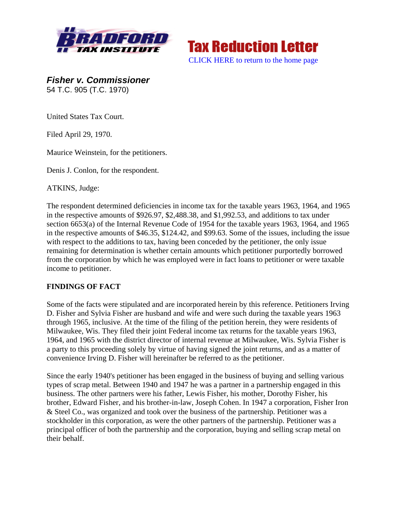



*Fisher v. Commissioner*  54 T.C. 905 (T.C. 1970)

United States Tax Court.

Filed April 29, 1970.

Maurice Weinstein, for the petitioners.

Denis J. Conlon, for the respondent.

ATKINS, Judge:

The respondent determined deficiencies in income tax for the taxable years 1963, 1964, and 1965 in the respective amounts of \$926.97, \$2,488.38, and \$1,992.53, and additions to tax under section 6653(a) of the Internal Revenue Code of 1954 for the taxable years 1963, 1964, and 1965 in the respective amounts of \$46.35, \$124.42, and \$99.63. Some of the issues, including the issue with respect to the additions to tax, having been conceded by the petitioner, the only issue remaining for determination is whether certain amounts which petitioner purportedly borrowed from the corporation by which he was employed were in fact loans to petitioner or were taxable income to petitioner.

## **FINDINGS OF FACT**

Some of the facts were stipulated and are incorporated herein by this reference. Petitioners Irving D. Fisher and Sylvia Fisher are husband and wife and were such during the taxable years 1963 through 1965, inclusive. At the time of the filing of the petition herein, they were residents of Milwaukee, Wis. They filed their joint Federal income tax returns for the taxable years 1963, 1964, and 1965 with the district director of internal revenue at Milwaukee, Wis. Sylvia Fisher is a party to this proceeding solely by virtue of having signed the joint returns, and as a matter of convenience Irving D. Fisher will hereinafter be referred to as the petitioner.

Since the early 1940's petitioner has been engaged in the business of buying and selling various types of scrap metal. Between 1940 and 1947 he was a partner in a partnership engaged in this business. The other partners were his father, Lewis Fisher, his mother, Dorothy Fisher, his brother, Edward Fisher, and his brother-in-law, Joseph Cohen. In 1947 a corporation, Fisher Iron & Steel Co., was organized and took over the business of the partnership. Petitioner was a stockholder in this corporation, as were the other partners of the partnership. Petitioner was a principal officer of both the partnership and the corporation, buying and selling scrap metal on their behalf.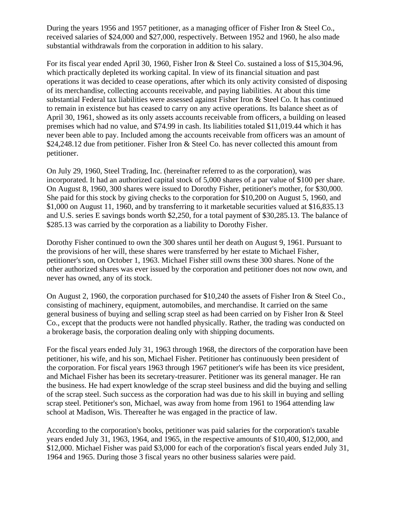During the years 1956 and 1957 petitioner, as a managing officer of Fisher Iron & Steel Co., received salaries of \$24,000 and \$27,000, respectively. Between 1952 and 1960, he also made substantial withdrawals from the corporation in addition to his salary.

For its fiscal year ended April 30, 1960, Fisher Iron & Steel Co. sustained a loss of \$15,304.96, which practically depleted its working capital. In view of its financial situation and past operations it was decided to cease operations, after which its only activity consisted of disposing of its merchandise, collecting accounts receivable, and paying liabilities. At about this time substantial Federal tax liabilities were assessed against Fisher Iron & Steel Co. It has continued to remain in existence but has ceased to carry on any active operations. Its balance sheet as of April 30, 1961, showed as its only assets accounts receivable from officers, a building on leased premises which had no value, and \$74.99 in cash. Its liabilities totaled \$11,019.44 which it has never been able to pay. Included among the accounts receivable from officers was an amount of \$24,248.12 due from petitioner. Fisher Iron & Steel Co. has never collected this amount from petitioner.

On July 29, 1960, Steel Trading, Inc. (hereinafter referred to as the corporation), was incorporated. It had an authorized capital stock of 5,000 shares of a par value of \$100 per share. On August 8, 1960, 300 shares were issued to Dorothy Fisher, petitioner's mother, for \$30,000. She paid for this stock by giving checks to the corporation for \$10,200 on August 5, 1960, and \$1,000 on August 11, 1960, and by transferring to it marketable securities valued at \$16,835.13 and U.S. series E savings bonds worth \$2,250, for a total payment of \$30,285.13. The balance of \$285.13 was carried by the corporation as a liability to Dorothy Fisher.

Dorothy Fisher continued to own the 300 shares until her death on August 9, 1961. Pursuant to the provisions of her will, these shares were transferred by her estate to Michael Fisher, petitioner's son, on October 1, 1963. Michael Fisher still owns these 300 shares. None of the other authorized shares was ever issued by the corporation and petitioner does not now own, and never has owned, any of its stock.

On August 2, 1960, the corporation purchased for \$10,240 the assets of Fisher Iron & Steel Co., consisting of machinery, equipment, automobiles, and merchandise. It carried on the same general business of buying and selling scrap steel as had been carried on by Fisher Iron & Steel Co., except that the products were not handled physically. Rather, the trading was conducted on a brokerage basis, the corporation dealing only with shipping documents.

For the fiscal years ended July 31, 1963 through 1968, the directors of the corporation have been petitioner, his wife, and his son, Michael Fisher. Petitioner has continuously been president of the corporation. For fiscal years 1963 through 1967 petitioner's wife has been its vice president, and Michael Fisher has been its secretary-treasurer. Petitioner was its general manager. He ran the business. He had expert knowledge of the scrap steel business and did the buying and selling of the scrap steel. Such success as the corporation had was due to his skill in buying and selling scrap steel. Petitioner's son, Michael, was away from home from 1961 to 1964 attending law school at Madison, Wis. Thereafter he was engaged in the practice of law.

According to the corporation's books, petitioner was paid salaries for the corporation's taxable years ended July 31, 1963, 1964, and 1965, in the respective amounts of \$10,400, \$12,000, and \$12,000. Michael Fisher was paid \$3,000 for each of the corporation's fiscal years ended July 31, 1964 and 1965. During those 3 fiscal years no other business salaries were paid.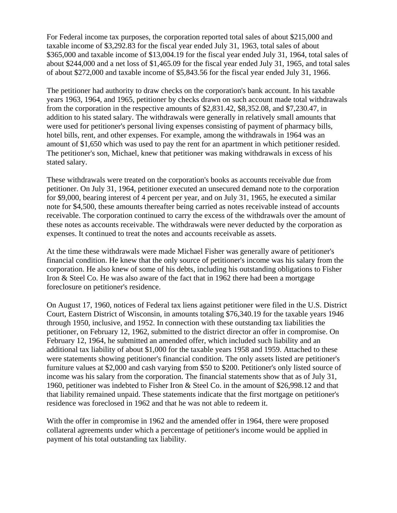For Federal income tax purposes, the corporation reported total sales of about \$215,000 and taxable income of \$3,292.83 for the fiscal year ended July 31, 1963, total sales of about \$365,000 and taxable income of \$13,004.19 for the fiscal year ended July 31, 1964, total sales of about \$244,000 and a net loss of \$1,465.09 for the fiscal year ended July 31, 1965, and total sales of about \$272,000 and taxable income of \$5,843.56 for the fiscal year ended July 31, 1966.

The petitioner had authority to draw checks on the corporation's bank account. In his taxable years 1963, 1964, and 1965, petitioner by checks drawn on such account made total withdrawals from the corporation in the respective amounts of \$2,831.42, \$8,352.08, and \$7,230.47, in addition to his stated salary. The withdrawals were generally in relatively small amounts that were used for petitioner's personal living expenses consisting of payment of pharmacy bills, hotel bills, rent, and other expenses. For example, among the withdrawals in 1964 was an amount of \$1,650 which was used to pay the rent for an apartment in which petitioner resided. The petitioner's son, Michael, knew that petitioner was making withdrawals in excess of his stated salary.

These withdrawals were treated on the corporation's books as accounts receivable due from petitioner. On July 31, 1964, petitioner executed an unsecured demand note to the corporation for \$9,000, bearing interest of 4 percent per year, and on July 31, 1965, he executed a similar note for \$4,500, these amounts thereafter being carried as notes receivable instead of accounts receivable. The corporation continued to carry the excess of the withdrawals over the amount of these notes as accounts receivable. The withdrawals were never deducted by the corporation as expenses. It continued to treat the notes and accounts receivable as assets.

At the time these withdrawals were made Michael Fisher was generally aware of petitioner's financial condition. He knew that the only source of petitioner's income was his salary from the corporation. He also knew of some of his debts, including his outstanding obligations to Fisher Iron & Steel Co. He was also aware of the fact that in 1962 there had been a mortgage foreclosure on petitioner's residence.

On August 17, 1960, notices of Federal tax liens against petitioner were filed in the U.S. District Court, Eastern District of Wisconsin, in amounts totaling \$76,340.19 for the taxable years 1946 through 1950, inclusive, and 1952. In connection with these outstanding tax liabilities the petitioner, on February 12, 1962, submitted to the district director an offer in compromise. On February 12, 1964, he submitted an amended offer, which included such liability and an additional tax liability of about \$1,000 for the taxable years 1958 and 1959. Attached to these were statements showing petitioner's financial condition. The only assets listed are petitioner's furniture values at \$2,000 and cash varying from \$50 to \$200. Petitioner's only listed source of income was his salary from the corporation. The financial statements show that as of July 31, 1960, petitioner was indebted to Fisher Iron & Steel Co. in the amount of \$26,998.12 and that that liability remained unpaid. These statements indicate that the first mortgage on petitioner's residence was foreclosed in 1962 and that he was not able to redeem it.

With the offer in compromise in 1962 and the amended offer in 1964, there were proposed collateral agreements under which a percentage of petitioner's income would be applied in payment of his total outstanding tax liability.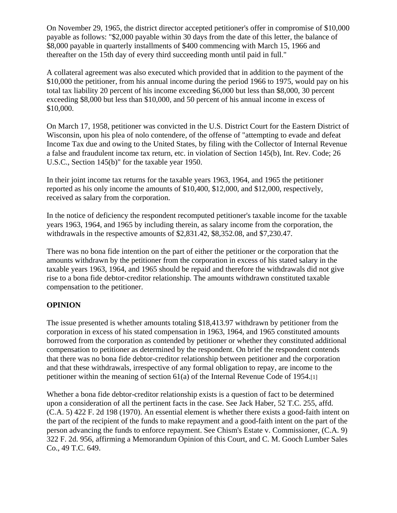On November 29, 1965, the district director accepted petitioner's offer in compromise of \$10,000 payable as follows: "\$2,000 payable within 30 days from the date of this letter, the balance of \$8,000 payable in quarterly installments of \$400 commencing with March 15, 1966 and thereafter on the 15th day of every third succeeding month until paid in full."

A collateral agreement was also executed which provided that in addition to the payment of the \$10,000 the petitioner, from his annual income during the period 1966 to 1975, would pay on his total tax liability 20 percent of his income exceeding \$6,000 but less than \$8,000, 30 percent exceeding \$8,000 but less than \$10,000, and 50 percent of his annual income in excess of \$10,000.

On March 17, 1958, petitioner was convicted in the U.S. District Court for the Eastern District of Wisconsin, upon his plea of nolo contendere, of the offense of "attempting to evade and defeat Income Tax due and owing to the United States, by filing with the Collector of Internal Revenue a false and fraudulent income tax return, etc. in violation of Section 145(b), Int. Rev. Code; 26 U.S.C., Section 145(b)" for the taxable year 1950.

In their joint income tax returns for the taxable years 1963, 1964, and 1965 the petitioner reported as his only income the amounts of \$10,400, \$12,000, and \$12,000, respectively, received as salary from the corporation.

In the notice of deficiency the respondent recomputed petitioner's taxable income for the taxable years 1963, 1964, and 1965 by including therein, as salary income from the corporation, the withdrawals in the respective amounts of \$2,831.42, \$8,352.08, and \$7,230.47.

There was no bona fide intention on the part of either the petitioner or the corporation that the amounts withdrawn by the petitioner from the corporation in excess of his stated salary in the taxable years 1963, 1964, and 1965 should be repaid and therefore the withdrawals did not give rise to a bona fide debtor-creditor relationship. The amounts withdrawn constituted taxable compensation to the petitioner.

## **OPINION**

The issue presented is whether amounts totaling \$18,413.97 withdrawn by petitioner from the corporation in excess of his stated compensation in 1963, 1964, and 1965 constituted amounts borrowed from the corporation as contended by petitioner or whether they constituted additional compensation to petitioner as determined by the respondent. On brief the respondent contends that there was no bona fide debtor-creditor relationship between petitioner and the corporation and that these withdrawals, irrespective of any formal obligation to repay, are income to the petitioner within the meaning of section  $61(a)$  of the Internal Revenue Code of 1954.

Whether a bona fide debtor-creditor relationship exists is a question of fact to be determined upon a consideration of all the pertinent facts in the case. See Jack Haber, 52 T.C. 255, affd. (C.A. 5) 422 F. 2d 198 (1970). An essential element is whether there exists a good-faith intent on the part of the recipient of the funds to make repayment and a good-faith intent on the part of the person advancing the funds to enforce repayment. See Chism's Estate v. Commissioner, (C.A. 9) 322 F. 2d. 956, affirming a Memorandum Opinion of this Court, and C. M. Gooch Lumber Sales Co., 49 T.C. 649.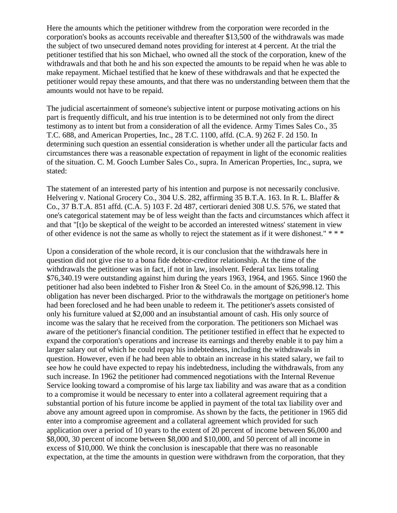Here the amounts which the petitioner withdrew from the corporation were recorded in the corporation's books as accounts receivable and thereafter \$13,500 of the withdrawals was made the subject of two unsecured demand notes providing for interest at 4 percent. At the trial the petitioner testified that his son Michael, who owned all the stock of the corporation, knew of the withdrawals and that both he and his son expected the amounts to be repaid when he was able to make repayment. Michael testified that he knew of these withdrawals and that he expected the petitioner would repay these amounts, and that there was no understanding between them that the amounts would not have to be repaid.

The judicial ascertainment of someone's subjective intent or purpose motivating actions on his part is frequently difficult, and his true intention is to be determined not only from the direct testimony as to intent but from a consideration of all the evidence. Army Times Sales Co., 35 T.C. 688, and American Properties, Inc., 28 T.C. 1100, affd. (C.A. 9) 262 F. 2d 150. In determining such question an essential consideration is whether under all the particular facts and circumstances there was a reasonable expectation of repayment in light of the economic realities of the situation. C. M. Gooch Lumber Sales Co., supra. In American Properties, Inc., supra, we stated:

The statement of an interested party of his intention and purpose is not necessarily conclusive. Helvering v. National Grocery Co., 304 U.S. 282, affirming 35 B.T.A. 163. In R. L. Blaffer & Co., 37 B.T.A. 851 affd. (C.A. 5) 103 F. 2d 487, certiorari denied 308 U.S. 576, we stated that one's categorical statement may be of less weight than the facts and circumstances which affect it and that "[t]o be skeptical of the weight to be accorded an interested witness' statement in view of other evidence is not the same as wholly to reject the statement as if it were dishonest." \* \* \*

Upon a consideration of the whole record, it is our conclusion that the withdrawals here in question did not give rise to a bona fide debtor-creditor relationship. At the time of the withdrawals the petitioner was in fact, if not in law, insolvent. Federal tax liens totaling \$76,340.19 were outstanding against him during the years 1963, 1964, and 1965. Since 1960 the petitioner had also been indebted to Fisher Iron & Steel Co. in the amount of \$26,998.12. This obligation has never been discharged. Prior to the withdrawals the mortgage on petitioner's home had been foreclosed and he had been unable to redeem it. The petitioner's assets consisted of only his furniture valued at \$2,000 and an insubstantial amount of cash. His only source of income was the salary that he received from the corporation. The petitioners son Michael was aware of the petitioner's financial condition. The petitioner testified in effect that he expected to expand the corporation's operations and increase its earnings and thereby enable it to pay him a larger salary out of which he could repay his indebtedness, including the withdrawals in question. However, even if he had been able to obtain an increase in his stated salary, we fail to see how he could have expected to repay his indebtedness, including the withdrawals, from any such increase. In 1962 the petitioner had commenced negotiations with the Internal Revenue Service looking toward a compromise of his large tax liability and was aware that as a condition to a compromise it would be necessary to enter into a collateral agreement requiring that a substantial portion of his future income be applied in payment of the total tax liability over and above any amount agreed upon in compromise. As shown by the facts, the petitioner in 1965 did enter into a compromise agreement and a collateral agreement which provided for such application over a period of 10 years to the extent of 20 percent of income between \$6,000 and \$8,000, 30 percent of income between \$8,000 and \$10,000, and 50 percent of all income in excess of \$10,000. We think the conclusion is inescapable that there was no reasonable expectation, at the time the amounts in question were withdrawn from the corporation, that they